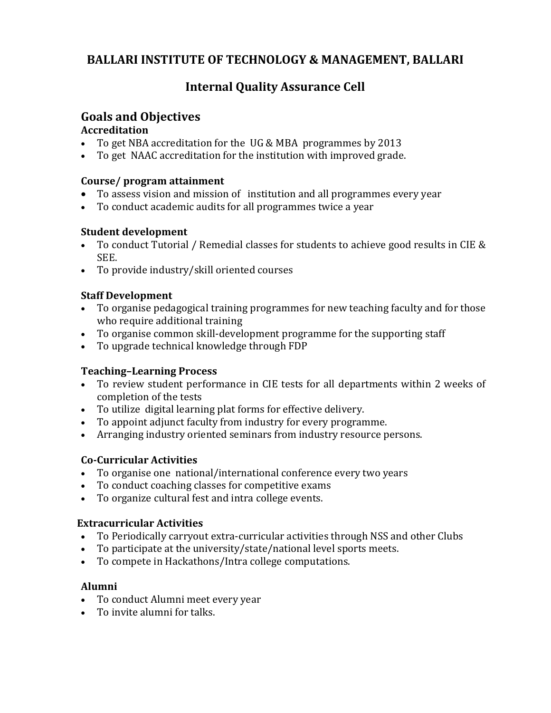# **BALLARI INSTITUTE OF TECHNOLOGY & MANAGEMENT, BALLARI**

# **Internal Quality Assurance Cell**

## **Goals and Objectives**

#### **Accreditation**

- To get NBA accreditation for the UG & MBA programmes by 2013<br>• To get NAAC accreditation for the institution with improved grade
- To get NAAC accreditation for the institution with improved grade.

#### **Course/ program attainment**

- To assess vision and mission of institution and all programmes every year
- To conduct academic audits for all programmes twice a year

## **Student development**

- To conduct Tutorial / Remedial classes for students to achieve good results in CIE & SEE.
- To provide industry/skill oriented courses

## **Staff Development**

- To organise pedagogical training programmes for new teaching faculty and for those who require additional training
- To organise common skill-development programme for the supporting staff
- To upgrade technical knowledge through FDP

## **Teaching–Learning Process**

- To review student performance in CIE tests for all departments within 2 weeks of completion of the tests
- To utilize digital learning plat forms for effective delivery.
- To appoint adjunct faculty from industry for every programme.
- Arranging industry oriented seminars from industry resource persons.

## **Co-Curricular Activities**

- To organise one national/international conference every two years
- To conduct coaching classes for competitive exams<br>• To organize cultural fest and intra college events.
- To organize cultural fest and intra college events.

#### **Extracurricular Activities**

- To Periodically carryout extra-curricular activities through NSS and other Clubs
- To participate at the university/state/national level sports meets.
- To compete in Hackathons/Intra college computations.

## **Alumni**

- To conduct Alumni meet every year
- To invite alumni for talks.